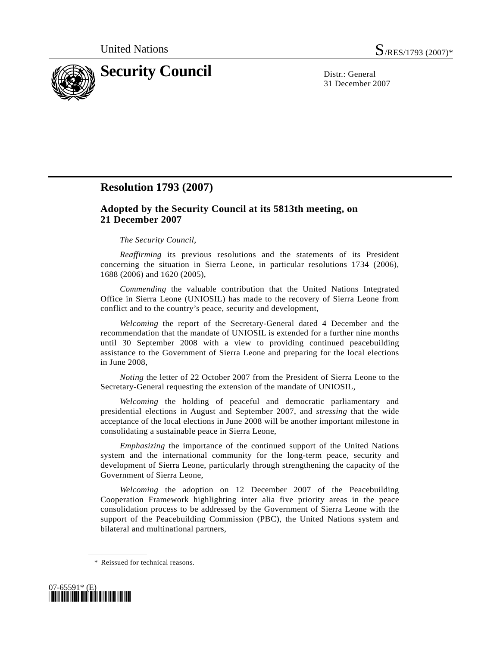

31 December 2007

## **Resolution 1793 (2007)**

## **Adopted by the Security Council at its 5813th meeting, on 21 December 2007**

## *The Security Council*,

*Reaffirming* its previous resolutions and the statements of its President concerning the situation in Sierra Leone, in particular resolutions 1734 (2006), 1688 (2006) and 1620 (2005),

*Commending* the valuable contribution that the United Nations Integrated Office in Sierra Leone (UNIOSIL) has made to the recovery of Sierra Leone from conflict and to the country's peace, security and development,

*Welcoming* the report of the Secretary-General dated 4 December and the recommendation that the mandate of UNIOSIL is extended for a further nine months until 30 September 2008 with a view to providing continued peacebuilding assistance to the Government of Sierra Leone and preparing for the local elections in June 2008,

 *Noting* the letter of 22 October 2007 from the President of Sierra Leone to the Secretary-General requesting the extension of the mandate of UNIOSIL,

 *Welcoming* the holding of peaceful and democratic parliamentary and presidential elections in August and September 2007, and *stressing* that the wide acceptance of the local elections in June 2008 will be another important milestone in consolidating a sustainable peace in Sierra Leone,

*Emphasizing* the importance of the continued support of the United Nations system and the international community for the long-term peace, security and development of Sierra Leone, particularly through strengthening the capacity of the Government of Sierra Leone,

 *Welcoming* the adoption on 12 December 2007 of the Peacebuilding Cooperation Framework highlighting inter alia five priority areas in the peace consolidation process to be addressed by the Government of Sierra Leone with the support of the Peacebuilding Commission (PBC), the United Nations system and bilateral and multinational partners,

 <sup>\*</sup> Reissued for technical reasons.

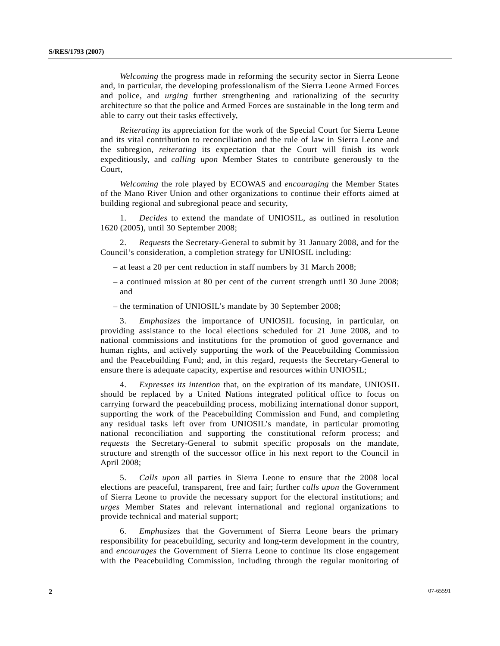*Welcoming* the progress made in reforming the security sector in Sierra Leone and, in particular, the developing professionalism of the Sierra Leone Armed Forces and police, and *urging* further strengthening and rationalizing of the security architecture so that the police and Armed Forces are sustainable in the long term and able to carry out their tasks effectively,

*Reiterating* its appreciation for the work of the Special Court for Sierra Leone and its vital contribution to reconciliation and the rule of law in Sierra Leone and the subregion, *reiterating* its expectation that the Court will finish its work expeditiously, and *calling upon* Member States to contribute generously to the Court,

*Welcoming* the role played by ECOWAS and *encouraging* the Member States of the Mano River Union and other organizations to continue their efforts aimed at building regional and subregional peace and security,

 1. *Decides* to extend the mandate of UNIOSIL, as outlined in resolution 1620 (2005), until 30 September 2008;

 2. *Requests* the Secretary-General to submit by 31 January 2008, and for the Council's consideration, a completion strategy for UNIOSIL including:

- at least a 20 per cent reduction in staff numbers by 31 March 2008;
- a continued mission at 80 per cent of the current strength until 30 June 2008; and
- the termination of UNIOSIL's mandate by 30 September 2008;

 3. *Emphasizes* the importance of UNIOSIL focusing, in particular, on providing assistance to the local elections scheduled for 21 June 2008, and to national commissions and institutions for the promotion of good governance and human rights, and actively supporting the work of the Peacebuilding Commission and the Peacebuilding Fund; and, in this regard, requests the Secretary-General to ensure there is adequate capacity, expertise and resources within UNIOSIL;

 4. *Expresses its intention* that, on the expiration of its mandate, UNIOSIL should be replaced by a United Nations integrated political office to focus on carrying forward the peacebuilding process, mobilizing international donor support, supporting the work of the Peacebuilding Commission and Fund, and completing any residual tasks left over from UNIOSIL's mandate, in particular promoting national reconciliation and supporting the constitutional reform process; and *requests* the Secretary-General to submit specific proposals on the mandate, structure and strength of the successor office in his next report to the Council in April 2008;

 5. *Calls upon* all parties in Sierra Leone to ensure that the 2008 local elections are peaceful, transparent, free and fair; further *calls upon* the Government of Sierra Leone to provide the necessary support for the electoral institutions; and *urges* Member States and relevant international and regional organizations to provide technical and material support;

 6. *Emphasizes* that the Government of Sierra Leone bears the primary responsibility for peacebuilding, security and long-term development in the country, and *encourages* the Government of Sierra Leone to continue its close engagement with the Peacebuilding Commission, including through the regular monitoring of